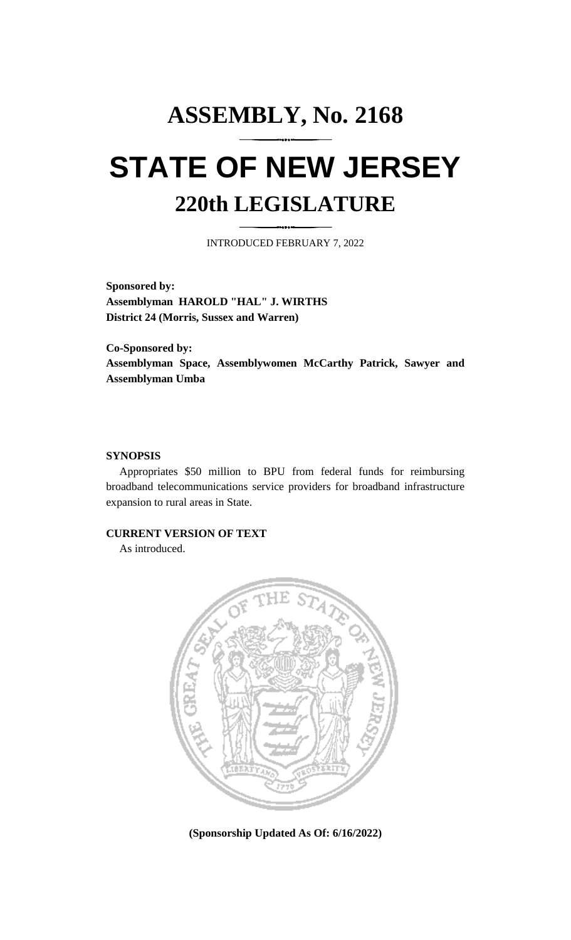# **ASSEMBLY, No. 2168 STATE OF NEW JERSEY 220th LEGISLATURE**

INTRODUCED FEBRUARY 7, 2022

**Sponsored by: Assemblyman HAROLD "HAL" J. WIRTHS District 24 (Morris, Sussex and Warren)**

**Co-Sponsored by: Assemblyman Space, Assemblywomen McCarthy Patrick, Sawyer and Assemblyman Umba**

### **SYNOPSIS**

Appropriates \$50 million to BPU from federal funds for reimbursing broadband telecommunications service providers for broadband infrastructure expansion to rural areas in State.

## **CURRENT VERSION OF TEXT**

As introduced.



**(Sponsorship Updated As Of: 6/16/2022)**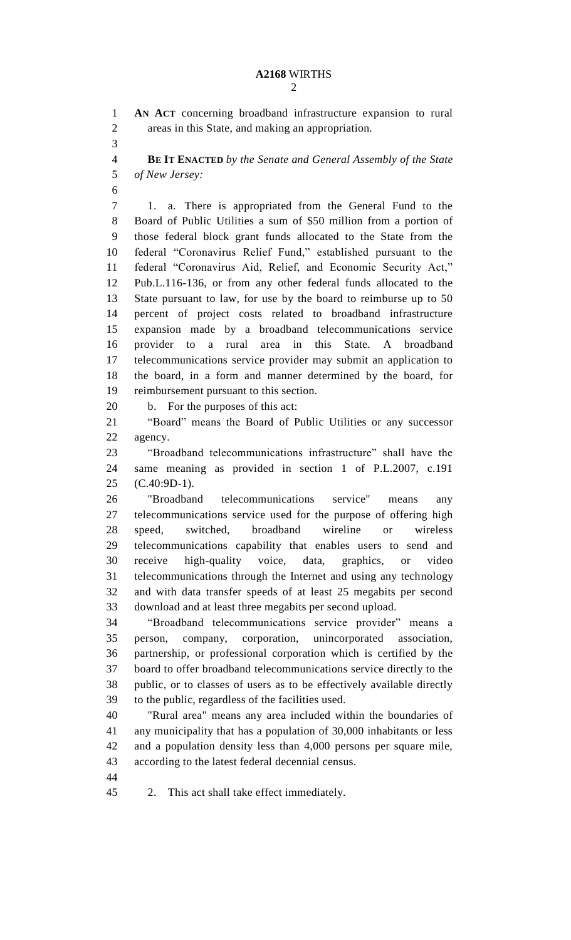## **A2168** WIRTHS

 **AN ACT** concerning broadband infrastructure expansion to rural areas in this State, and making an appropriation. **BE IT ENACTED** *by the Senate and General Assembly of the State of New Jersey:* 1. a. There is appropriated from the General Fund to the Board of Public Utilities a sum of \$50 million from a portion of those federal block grant funds allocated to the State from the federal "Coronavirus Relief Fund," established pursuant to the federal "Coronavirus Aid, Relief, and Economic Security Act," Pub.L.116-136, or from any other federal funds allocated to the State pursuant to law, for use by the board to reimburse up to 50 percent of project costs related to broadband infrastructure expansion made by a broadband telecommunications service provider to a rural area in this State. A broadband telecommunications service provider may submit an application to the board, in a form and manner determined by the board, for reimbursement pursuant to this section. b. For the purposes of this act: "Board" means the Board of Public Utilities or any successor agency. "Broadband telecommunications infrastructure" shall have the same meaning as provided in section 1 of P.L.2007, c.191 (C.40:9D-1). "Broadband telecommunications service" means any telecommunications service used for the purpose of offering high speed, switched, broadband wireline or wireless telecommunications capability that enables users to send and receive high-quality voice, data, graphics, or video telecommunications through the Internet and using any technology and with data transfer speeds of at least 25 megabits per second download and at least three megabits per second upload. "Broadband telecommunications service provider" means a person, company, corporation, unincorporated association, partnership, or professional corporation which is certified by the board to offer broadband telecommunications service directly to the public, or to classes of users as to be effectively available directly to the public, regardless of the facilities used. "Rural area" means any area included within the boundaries of any municipality that has a population of 30,000 inhabitants or less and a population density less than 4,000 persons per square mile, according to the latest federal decennial census. 

2. This act shall take effect immediately.